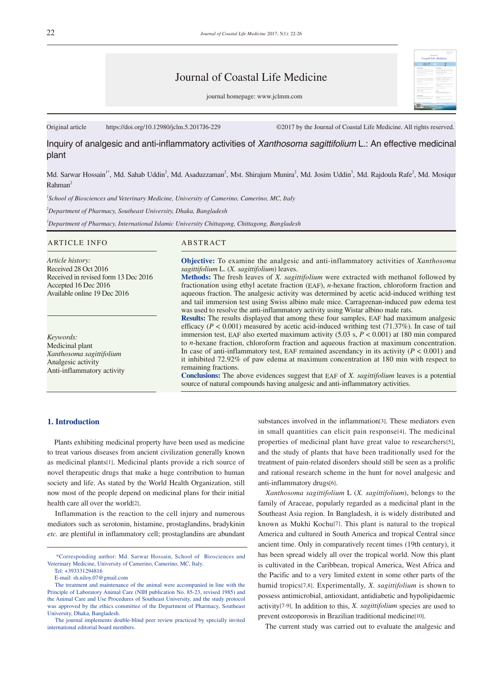# Journal of Coastal Life Medicine

journal homepage: www.jclmm.com

Original article https://doi.org/10.12980/jclm.5.2017J6-229 ©2017 by the Journal of Coastal Life Medicine. All rights reserved.

Inquiry of analgesic and anti-inflammatory activities of *Xanthosoma sagittifolium* L.: An effective medicinal plant

Md. Sarwar Hossain<sup>1\*</sup>, Md. Sahab Uddin<sup>2</sup>, Md. Asaduzzaman<sup>2</sup>, Mst. Shirajum Munira<sup>2</sup>, Md. Josim Uddin<sup>3</sup>, Md. Rajdoula Rafe<sup>2</sup>, Md. Mosiqur Rahman<sup>2</sup>

*1 School of Biosciences and Veterinary Medicine, University of Camerino, Camerino, MC, Italy*

*2 Department of Pharmacy, Southeast University, Dhaka, Bangladesh*

*3 Department of Pharmacy, International Islamic University Chittagong, Chittagong, Bangladesh*

### ARTICLE INFO ABSTRACT

*Article history:* Received 28 Oct 2016 Received in revised form 13 Dec 2016 Accepted 16 Dec 2016 Available online 19 Dec 2016

*Keywords:* Medicinal plant *Xanthosoma sagittifolium* Analgesic activity Anti-inflammatory activity

**Objective:** To examine the analgesic and anti-inflammatory activities of *Xanthosoma sagittifolium* L. (*X. sagittifolium*) leaves.

**Methods:** The fresh leaves of *X. sagittifolium* were extracted with methanol followed by fractionation using ethyl acetate fraction (EAF), *n*-hexane fraction, chloroform fraction and aqueous fraction. The analgesic activity was determined by acetic acid-induced writhing test and tail immersion test using Swiss albino male mice. Carrageenan-induced paw edema test was used to resolve the anti-inflammatory activity using Wistar albino male rats.

**Results:** The results displayed that among these four samples, EAF had maximum analgesic efficacy  $(P < 0.001)$  measured by acetic acid-induced writhing test  $(71.37\%)$ . In case of tail immersion test, EAF also exerted maximum activity (5.03 s, *P* < 0.001) at 180 min compared to *n*-hexane fraction, chloroform fraction and aqueous fraction at maximum concentration. In case of anti-inflammatory test, EAF remained ascendancy in its activity  $(P < 0.001)$  and it inhibited 72.92% of paw edema at maximum concentration at 180 min with respect to remaining fractions.

**Conclusions:** The above evidences suggest that EAF of *X. sagittifolium* leaves is a potential source of natural compounds having analgesic and anti-inflammatory activities.

## **1. Introduction**

 Plants exhibiting medicinal property have been used as medicine to treat various diseases from ancient civilization generally known as medicinal plants[1]. Medicinal plants provide a rich source of novel therapeutic drugs that make a huge contribution to human society and life. As stated by the World Health Organization, still now most of the people depend on medicinal plans for their initial health care all over the world[2].

 Inflammation is the reaction to the cell injury and numerous mediators such as serotonin, histamine, prostaglandins, bradykinin *etc.* are plentiful in inflammatory cell; prostaglandins are abundant substances involved in the inflammation[3]. These mediators even in small quantities can elicit pain response[4]. The medicinal properties of medicinal plant have great value to researchers[5], and the study of plants that have been traditionally used for the treatment of pain-related disorders should still be seen as a prolific and rational research scheme in the hunt for novel analgesic and anti-inflammatory drugs[6].

 *Xanthosoma sagittifolium* L (*X. sagittifolium*), belongs to the family of Araceae, popularly regarded as a medicinal plant in the Southeast Asia region. In Bangladesh, it is widely distributed and known as Mukhi Kochu[7]. This plant is natural to the tropical America and cultured in South America and tropical Central since ancient time. Only in comparatively recent times (19th century), it has been spread widely all over the tropical world. Now this plant is cultivated in the Caribbean, tropical America, West Africa and the Pacific and to a very limited extent in some other parts of the humid tropics[7,8]. Experimentally, *X. sagittifolium* is shown to possess antimicrobial, antioxidant, antidiabetic and hypolipidaemic activity[7-9]. In addition to this, *X. sagittifolium* species are used to prevent osteoporosis in Brazilian traditional medicine[10].

The current study was carried out to evaluate the analgesic and

 <sup>\*</sup>Corresponding author: Md. Sarwar Hossain, School of Biosciences and Veterinary Medicine, University of Camerino, Camerino, MC, Italy.

Tel: +393331294816

E-mail: sh.niloy.07@gmail.com

The treatment and maintenance of the animal were accompanied in line with the Principle of Laboratory Animal Care (NIH publication No. 85-23, revised 1985) and the Animal Care and Use Procedures of Southeast University, and the study protocol was approved by the ethics committee of the Department of Pharmacy, Southeast University, Dhaka, Bangladesh.

The journal implements double-blind peer review practiced by specially invited international editorial board members.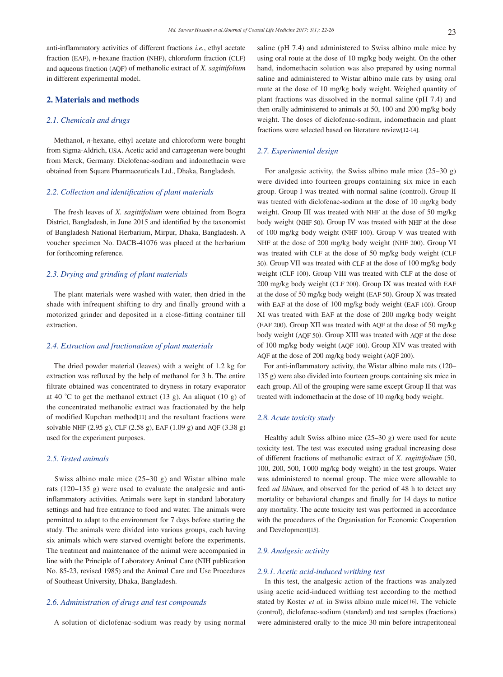anti-inflammatory activities of different fractions *i.e.*, ethyl acetate fraction (EAF), *n*-hexane fraction (NHF), chloroform fraction (CLF) and aqueous fraction (AQF) of methanolic extract of *X. sagittifolium* in different experimental model.

# **2. Materials and methods**

## *2.1. Chemicals and drugs*

 Methanol, *n*-hexane, ethyl acetate and chloroform were bought from Sigma-Aldrich, USA. Acetic acid and carrageenan were bought from Merck, Germany. Diclofenac-sodium and indomethacin were obtained from Square Pharmaceuticals Ltd., Dhaka, Bangladesh.

#### *2.2. Collection and identification of plant materials*

 The fresh leaves of *X. sagittifolium* were obtained from Bogra District, Bangladesh, in June 2015 and identified by the taxonomist of Bangladesh National Herbarium, Mirpur, Dhaka, Bangladesh. A voucher specimen No. DACB-41076 was placed at the herbarium for forthcoming reference.

### *2.3. Drying and grinding of plant materials*

 The plant materials were washed with water, then dried in the shade with infrequent shifting to dry and finally ground with a motorized grinder and deposited in a close-fitting container till extraction.

#### *2.4. Extraction and fractionation of plant materials*

 The dried powder material (leaves) with a weight of 1.2 kg for extraction was refluxed by the help of methanol for 3 h. The entire filtrate obtained was concentrated to dryness in rotary evaporator at 40 °C to get the methanol extract  $(13 \text{ g})$ . An aliquot  $(10 \text{ g})$  of the concentrated methanolic extract was fractionated by the help of modified Kupchan method[11] and the resultant fractions were solvable NHF (2.95 g), CLF (2.58 g), EAF (1.09 g) and AQF (3.38 g) used for the experiment purposes.

#### *2.5. Tested animals*

 Swiss albino male mice (25–30 g) and Wistar albino male rats (120–135 g) were used to evaluate the analgesic and antiinflammatory activities. Animals were kept in standard laboratory settings and had free entrance to food and water. The animals were permitted to adapt to the environment for 7 days before starting the study. The animals were divided into various groups, each having six animals which were starved overnight before the experiments. The treatment and maintenance of the animal were accompanied in line with the Principle of Laboratory Animal Care (NIH publication No. 85-23, revised 1985) and the Animal Care and Use Procedures of Southeast University, Dhaka, Bangladesh.

## *2.6. Administration of drugs and test compounds*

A solution of diclofenac-sodium was ready by using normal

saline (pH 7.4) and administered to Swiss albino male mice by using oral route at the dose of 10 mg/kg body weight. On the other hand, indomethacin solution was also prepared by using normal saline and administered to Wistar albino male rats by using oral route at the dose of 10 mg/kg body weight. Weighed quantity of plant fractions was dissolved in the normal saline (pH 7.4) and then orally administered to animals at 50, 100 and 200 mg/kg body weight. The doses of diclofenac-sodium, indomethacin and plant fractions were selected based on literature review[12-14].

#### *2.7. Experimental design*

 For analgesic activity, the Swiss albino male mice (25–30 g) were divided into fourteen groups containing six mice in each group. Group I was treated with normal saline (control). Group II was treated with diclofenac-sodium at the dose of 10 mg/kg body weight. Group III was treated with NHF at the dose of 50 mg/kg body weight (NHF 50). Group IV was treated with NHF at the dose of 100 mg/kg body weight (NHF 100). Group V was treated with NHF at the dose of 200 mg/kg body weight (NHF 200). Group VI was treated with CLF at the dose of 50 mg/kg body weight (CLF 50). Group VII was treated with CLF at the dose of 100 mg/kg body weight (CLF 100). Group VIII was treated with CLF at the dose of 200 mg/kg body weight (CLF 200). Group IX was treated with EAF at the dose of 50 mg/kg body weight (EAF 50). Group X was treated with EAF at the dose of 100 mg/kg body weight (EAF 100). Group XI was treated with EAF at the dose of 200 mg/kg body weight (EAF 200). Group XII was treated with AQF at the dose of 50 mg/kg body weight (AQF 50). Group XIII was treated with AQF at the dose of 100 mg/kg body weight (AQF 100). Group XIV was treated with AQF at the dose of 200 mg/kg body weight (AQF 200).

 For anti-inflammatory activity, the Wistar albino male rats (120– 135 g) were also divided into fourteen groups containing six mice in each group. All of the grouping were same except Group II that was treated with indomethacin at the dose of 10 mg/kg body weight.

# *2.8. Acute toxicity study*

 Healthy adult Swiss albino mice (25–30 g) were used for acute toxicity test. The test was executed using gradual increasing dose of different fractions of methanolic extract of *X. sagittifolium* (50, 100, 200, 500, 1000 mg/kg body weight) in the test groups. Water was administered to normal group. The mice were allowable to feed *ad libitum*, and observed for the period of 48 h to detect any mortality or behavioral changes and finally for 14 days to notice any mortality. The acute toxicity test was performed in accordance with the procedures of the Organisation for Economic Cooperation and Development[15].

#### *2.9. Analgesic activity*

#### *2.9.1. Acetic acid-induced writhing test*

 In this test, the analgesic action of the fractions was analyzed using acetic acid-induced writhing test according to the method stated by Koster *et al.* in Swiss albino male mice[16]. The vehicle (control), diclofenac-sodium (standard) and test samples (fractions) were administered orally to the mice 30 min before intraperitoneal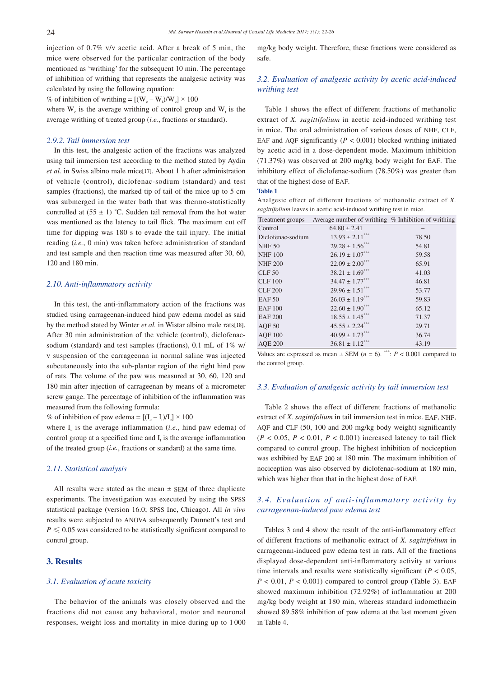injection of 0.7% v/v acetic acid. After a break of 5 min, the mice were observed for the particular contraction of the body mentioned as 'writhing' for the subsequent 10 min. The percentage of inhibition of writhing that represents the analgesic activity was calculated by using the following equation:

% of inhibition of writhing =  $[(W_c - W_t)/W_c] \times 100$ 

where  $W_c$  is the average writhing of control group and  $W_t$  is the average writhing of treated group (*i.e.*, fractions or standard).

## *2.9.2. Tail immersion test*

 In this test, the analgesic action of the fractions was analyzed using tail immersion test according to the method stated by Aydin *et al.* in Swiss albino male mice[17]. About 1 h after administration of vehicle (control), diclofenac-sodium (standard) and test samples (fractions), the marked tip of tail of the mice up to 5 cm was submerged in the water bath that was thermo-statistically controlled at  $(55 \pm 1)$  °C. Sudden tail removal from the hot water was mentioned as the latency to tail flick. The maximum cut off time for dipping was 180 s to evade the tail injury. The initial reading (*i.e.*, 0 min) was taken before administration of standard and test sample and then reaction time was measured after 30, 60, 120 and 180 min.

## *2.10. Anti-inflammatory activity*

 In this test, the anti-inflammatory action of the fractions was studied using carrageenan-induced hind paw edema model as said by the method stated by Winter *et al.* in Wistar albino male rats[18]. After 30 min administration of the vehicle (control), diclofenacsodium (standard) and test samples (fractions), 0.1 mL of 1% w/ v suspension of the carrageenan in normal saline was injected subcutaneously into the sub-plantar region of the right hind paw of rats. The volume of the paw was measured at 30, 60, 120 and 180 min after injection of carrageenan by means of a micrometer screw gauge. The percentage of inhibition of the inflammation was measured from the following formula:

% of inhibition of paw edema =  $[(I_c - I_t)/I_c] \times 100$ 

where  $I_c$  is the average inflammation (*i.e.*, hind paw edema) of control group at a specified time and  $I_t$  is the average inflammation of the treated group (*i.e.*, fractions or standard) at the same time.

#### *2.11. Statistical analysis*

All results were stated as the mean  $\pm$  SEM of three duplicate experiments. The investigation was executed by using the SPSS statistical package (version 16.0; SPSS Inc, Chicago). All *in vivo* results were subjected to ANOVA subsequently Dunnett's test and  $P \leq 0.05$  was considered to be statistically significant compared to control group.

## **3. Results**

## *3.1. Evaluation of acute toxicity*

 The behavior of the animals was closely observed and the fractions did not cause any behavioral, motor and neuronal responses, weight loss and mortality in mice during up to 1 000 mg/kg body weight. Therefore, these fractions were considered as safe.

# *3.2. Evaluation of analgesic activity by acetic acid-induced writhing test*

 Table 1 shows the effect of different fractions of methanolic extract of *X. sagittifolium* in acetic acid-induced writhing test in mice. The oral administration of various doses of NHF, CLF, EAF and AQF significantly  $(P < 0.001)$  blocked writhing initiated by acetic acid in a dose-dependent mode. Maximum inhibition (71.37%) was observed at 200 mg/kg body weight for EAF. The inhibitory effect of diclofenac-sodium (78.50%) was greater than that of the highest dose of EAF.

#### **Table 1**

Analgesic effect of different fractions of methanolic extract of *X. sagittifolium* leaves in acetic acid-induced writhing test in mice.

| Treatment groups  | Average number of writhing % Inhibition of writhing |       |
|-------------------|-----------------------------------------------------|-------|
| Control           | $64.80 \pm 2.41$                                    |       |
| Diclofenac-sodium | $13.93 \pm 2.11$ <sup>***</sup>                     | 78.50 |
| <b>NHF 50</b>     | $29.28 \pm 1.56$ ***                                | 54.81 |
| <b>NHF 100</b>    | $26.19 \pm 1.07***$                                 | 59.58 |
| <b>NHF 200</b>    | $22.09 \pm 2.00***$                                 | 65.91 |
| $CLF$ 50          | $38.21 \pm 1.69$ ***                                | 41.03 |
| <b>CLF</b> 100    | $34.47 \pm 1.77***$                                 | 46.81 |
| <b>CLF 200</b>    | $29.96 \pm 1.51$ <sup>***</sup>                     | 53.77 |
| <b>EAF 50</b>     | $26.03 \pm 1.19***$                                 | 59.83 |
| <b>EAF 100</b>    | $22.60 \pm 1.90^{***}$                              | 65.12 |
| <b>EAF 200</b>    | $18.55 \pm 1.45$                                    | 71.37 |
| AQF <sub>50</sub> | $45.55 \pm 2.24$ <sup>***</sup>                     | 29.71 |
| <b>AQF 100</b>    | $40.99 \pm 1.73$ ***                                | 36.74 |
| <b>AQE 200</b>    | $36.81 \pm 1.12***$                                 | 43.19 |

Values are expressed as mean  $\pm$  SEM ( $n = 6$ ). \*\*\*:  $P < 0.001$  compared to the control group.

#### *3.3. Evaluation of analgesic activity by tail immersion test*

 Table 2 shows the effect of different fractions of methanolic extract of *X. sagittifolium* in tail immersion test in mice. EAF, NHF, AQF and CLF (50, 100 and 200 mg/kg body weight) significantly  $(P < 0.05, P < 0.01, P < 0.001)$  increased latency to tail flick compared to control group. The highest inhibition of nociception was exhibited by EAF 200 at 180 min. The maximum inhibition of nociception was also observed by diclofenac-sodium at 180 min, which was higher than that in the highest dose of EAF.

# *3.4. Evaluation of anti-inflammatory activity by carrageenan-induced paw edema test*

 Tables 3 and 4 show the result of the anti-inflammatory effect of different fractions of methanolic extract of *X. sagittifolium* in carrageenan-induced paw edema test in rats. All of the fractions displayed dose-dependent anti-inflammatory activity at various time intervals and results were statistically significant ( $P < 0.05$ ,  $P < 0.01$ ,  $P < 0.001$ ) compared to control group (Table 3). EAF showed maximum inhibition (72.92%) of inflammation at 200 mg/kg body weight at 180 min, whereas standard indomethacin showed 89.58% inhibition of paw edema at the last moment given in Table 4.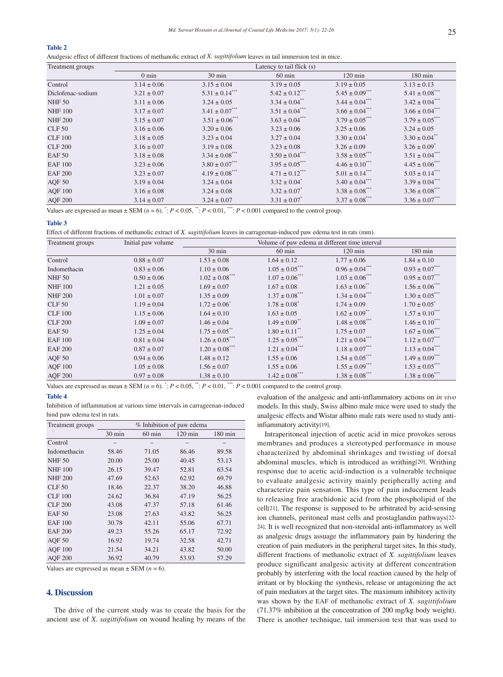#### **Table 2**

Analgesic effect of different fractions of methanolic extract of *X. sagittifolium* leaves in tail immersion test in mice.

| Treatment groups  | Latency to tail flick (s) |                                 |                                |                                 |                                 |
|-------------------|---------------------------|---------------------------------|--------------------------------|---------------------------------|---------------------------------|
|                   | $0 \text{ min}$           | $30 \text{ min}$                | $60 \text{ min}$               | $120 \text{ min}$               | 180 min                         |
| Control           | $3.14 \pm 0.06$           | $3.15 \pm 0.04$                 | $3.19 \pm 0.05$                | $3.19 \pm 0.05$                 | $3.13 \pm 0.13$                 |
| Diclofenac-sodium | $3.21 \pm 0.07$           | $5.31 \pm 0.14$ ***             | $5.42 \pm 0.12$ <sup>***</sup> | $5.45 \pm 0.09$ <sup>***</sup>  | $5.41 \pm 0.08$ <sup>***</sup>  |
| <b>NHF 50</b>     | $3.11 \pm 0.06$           | $3.24 \pm 0.05$                 | $3.34 \pm 0.04$ <sup>**</sup>  | $3.44 \pm 0.04$ <sup>****</sup> | $3.42 \pm 0.04$ <sup>****</sup> |
| <b>NHF 100</b>    | $3.17 \pm 0.07$           | $3.41 \pm 0.07$ ***             | $3.51 \pm 0.04$ ***            | $3.66 \pm 0.04$ ***             | $3.66 \pm 0.04$ ***             |
| <b>NHF 200</b>    | $3.15 \pm 0.07$           | $3.51 \pm 0.06$ <sup>****</sup> | $3.63 \pm 0.04$ <sup>***</sup> | $3.79 \pm 0.05$ ***             | $3.79 \pm 0.05$                 |
| $CLF$ 50          | $3.16 \pm 0.06$           | $3.20 \pm 0.06$                 | $3.23 \pm 0.06$                | $3.25 \pm 0.06$                 | $3.24 \pm 0.05$                 |
| <b>CLF 100</b>    | $3.18 \pm 0.05$           | $3.23 \pm 0.04$                 | $3.27 \pm 0.04$                | $3.30 \pm 0.04$ <sup>*</sup>    | $3.30 \pm 0.04$ <sup>**</sup>   |
| <b>CLF 200</b>    | $3.16 \pm 0.07$           | $3.19 \pm 0.08$                 | $3.23 \pm 0.08$                | $3.26 \pm 0.09$                 | $3.26 \pm 0.09$ <sup>*</sup>    |
| EAF 50            | $3.18 \pm 0.08$           | $3.34 \pm 0.08$ <sup>***</sup>  | $3.50 \pm 0.04$ ***            | $3.58 \pm 0.05$ ***             | $3.51 \pm 0.04$ <sup>***</sup>  |
| <b>EAF 100</b>    | $3.23 \pm 0.06$           | $3.80 \pm 0.07$ ***             | $3.95 \pm 0.05$ ***            | $4.46 \pm 0.10$ <sup>***</sup>  | $4.45 \pm 0.06$ <sup>***</sup>  |
| <b>EAF 200</b>    | $3.23 \pm 0.07$           | $4.19 \pm 0.08$ ***             | $4.71 \pm 0.12$ ***            | $5.01 \pm 0.14$ <sup>***</sup>  | $5.03 \pm 0.14$ <sup>****</sup> |
| AQF <sub>50</sub> | $3.19 \pm 0.04$           | $3.24 \pm 0.04$                 | $3.32 \pm 0.04$ <sup>*</sup>   | $3.40 \pm 0.04$ <sup>****</sup> | $3.39 \pm 0.04$ <sup>***</sup>  |
| <b>AQF 100</b>    | $3.16 \pm 0.08$           | $3.24 \pm 0.08$                 | $3.32 \pm 0.07$ <sup>*</sup>   | $3.38 \pm 0.08$ <sup>***</sup>  | $3.36 \pm 0.08$ <sup>***</sup>  |
| <b>AQF 200</b>    | $3.14 \pm 0.07$           | $3.24 \pm 0.07$                 | $3.31 \pm 0.07$ <sup>*</sup>   | $3.37 \pm 0.08$ ***             | $3.36 \pm 0.07$ ***             |

Values are expressed as mean  $\pm$  SEM ( $n = 6$ ).  $\cdot$ :  $P < 0.05$ ,  $\cdot$ :  $P < 0.01$ ,  $\cdot$   $\cdot$ :  $P < 0.001$  compared to the control group.

#### **Table 3**

| Effect of different fractions of methanolic extract of X. sagittifolium leaves in carrageenan-induced paw edema test in rats (mm). |  |
|------------------------------------------------------------------------------------------------------------------------------------|--|
|------------------------------------------------------------------------------------------------------------------------------------|--|

| Treatment groups | Initial paw volume | Volume of paw edema at different time interval |                               |                                |                                |
|------------------|--------------------|------------------------------------------------|-------------------------------|--------------------------------|--------------------------------|
|                  |                    | 30 min                                         | $60 \text{ min}$              | $120 \text{ min}$              | $180 \text{ min}$              |
| Control          | $0.88 \pm 0.07$    | $1.53 \pm 0.08$                                | $1.64 \pm 0.12$               | $1.77 \pm 0.06$                | $1.84 \pm 0.10$                |
| Indomethacin     | $0.83 \pm 0.06$    | $1.10 \pm 0.06$                                | $1.05 \pm 0.05$ ***           | $0.96 \pm 0.04$ ***            | $0.93 \pm 0.07$ <sup>***</sup> |
| <b>NHF 50</b>    | $0.50 \pm 0.06$    | $1.02 \pm 0.08$ <sup>***</sup>                 | $1.07 \pm 0.06$ ***           | $1.03 \pm 0.06$ ***            | $0.95 \pm 0.07$ ***            |
| <b>NHF 100</b>   | $1.21 \pm 0.05$    | $1.69 \pm 0.07$                                | $1.67 \pm 0.08$               | $1.63 \pm 0.06$ <sup>**</sup>  | $1.56 \pm 0.06$ <sup>***</sup> |
| <b>NHF 200</b>   | $1.01 \pm 0.07$    | $1.35 \pm 0.09$                                | $1.37 \pm 0.08$ ***           | $1.34 \pm 0.04$ ***            | $1.30 \pm 0.05$ <sup>***</sup> |
| <b>CLF 50</b>    | $1.19 \pm 0.04$    | $1.72 \pm 0.06^*$                              | $1.78 \pm 0.08$ <sup>*</sup>  | $1.74 \pm 0.09$                | $1.70 \pm 0.05^*$              |
| <b>CLF 100</b>   | $1.15 \pm 0.06$    | $1.64 \pm 0.10$                                | $1.63 \pm 0.05$               | $1.62 \pm 0.09$ <sup>**</sup>  | $1.57 \pm 0.10$ <sup>***</sup> |
| <b>CLF 200</b>   | $1.09 \pm 0.07$    | $1.46 \pm 0.04$                                | $1.49 \pm 0.09$ <sup>**</sup> | $1.48 \pm 0.08$ <sup>***</sup> | $1.46 \pm 0.10$ <sup>***</sup> |
| <b>EAF50</b>     | $1.25 \pm 0.04$    | $1.75 \pm 0.05$ **                             | $1.80 \pm 0.11$ <sup>**</sup> | $1.75 \pm 0.07$                | $1.67 \pm 0.06$ <sup>***</sup> |
| <b>EAF 100</b>   | $0.81 \pm 0.04$    | $1.26 \pm 0.05$ ***                            | $1.25 \pm 0.05$ ***           | $1.21 \pm 0.04$ ***            | $1.12 \pm 0.07$ ***            |
| <b>EAF 200</b>   | $0.87 \pm 0.07$    | $1.20 \pm 0.08$ ***                            | $1.21 \pm 0.04$ ***           | $1.18 \pm 0.07$ ***            | $1.13 \pm 0.04$ ***            |
| AQF 50           | $0.94 \pm 0.06$    | $1.48 \pm 0.12$                                | $1.55 \pm 0.06$               | $1.54 \pm 0.05$ ***            | $1.49 \pm 0.09$ ***            |
| <b>AQF 100</b>   | $1.05 \pm 0.08$    | $1.56 \pm 0.07$                                | $1.55 \pm 0.06$               | $1.55 \pm 0.09$ <sup>***</sup> | $1.53 \pm 0.05$ ***            |
| <b>AQF 200</b>   | $0.97 \pm 0.08$    | $1.38 \pm 0.10$                                | $1.42 \pm 0.08$ ***           | $1.38 \pm 0.08$ ***            | $1.38 \pm 0.06$ ***            |

Values are expressed as mean  $\pm$  SEM ( $n = 6$ ).  $\cdot$ :  $P < 0.05$ ,  $\cdot$  :  $P < 0.01$ ,  $\cdot$   $\cdot$   $\cdot$   $P < 0.001$  compared to the control group.

#### **Table 4**

Inhibition of inflammation at various time intervals in carrageenan-induced hind paw edema test in rats.

| Treatment groups  | % Inhibition of paw edema |                  |                   |                   |
|-------------------|---------------------------|------------------|-------------------|-------------------|
|                   | $30 \text{ min}$          | $60 \text{ min}$ | $120 \text{ min}$ | $180 \text{ min}$ |
| Control           |                           |                  |                   |                   |
| Indomethacin      | 58.46                     | 71.05            | 86.46             | 89.58             |
| <b>NHF 50</b>     | 20.00                     | 25.00            | 40.45             | 53.13             |
| <b>NHF 100</b>    | 26.15                     | 39.47            | 52.81             | 63.54             |
| <b>NHF 200</b>    | 47.69                     | 52.63            | 62.92             | 69.79             |
| $CLF$ 50          | 18.46                     | 22.37            | 38.20             | 46.88             |
| CLF100            | 24.62                     | 36.84            | 47.19             | 56.25             |
| <b>CLF 200</b>    | 43.08                     | 47.37            | 57.18             | 61.46             |
| EAF 50            | 23.08                     | 27.63            | 43.82             | 56.25             |
| <b>EAF 100</b>    | 30.78                     | 42.11            | 55.06             | 67.71             |
| <b>EAF 200</b>    | 49.23                     | 55.26            | 65.17             | 72.92             |
| AOF <sub>50</sub> | 16.92                     | 19.74            | 32.58             | 42.71             |
| <b>AQF 100</b>    | 21.54                     | 34.21            | 43.82             | 50.00             |
| <b>AQF 200</b>    | 36.92                     | 40.79            | 53.93             | 57.29             |

Values are expressed as mean  $\pm$  SEM ( $n = 6$ ).

# **4. Discussion**

 The drive of the current study was to create the basis for the ancient use of *X. sagittifolium* on wound healing by means of the evaluation of the analgesic and anti-inflammatory actions on *in vivo* models. In this study, Swiss albino male mice were used to study the analgesic effects and Wistar albino male rats were used to study antiinfiammatory activity[19].

 Intraperitoneal injection of acetic acid in mice provokes serous membranes and produces a stereotyped performance in mouse characterized by abdominal shrinkages and twisting of dorsal abdominal muscles, which is introduced as writhing[20]. Writhing response due to acetic acid-induction is a vulnerable technique to evaluate analgesic activity mainly peripherally acting and characterize pain sensation. This type of pain inducement leads to releasing free arachidonic acid from the phospholipid of the cell[21]. The response is supposed to be arbitrated by acid-sensing ion channels, peritoneal mast cells and prostaglandin pathways[22- 24]. It is well recognized that non-steroidal anti-inflammatory as well as analgesic drugs assuage the inflammatory pain by hindering the creation of pain mediators in the peripheral target sites. In this study, different fractions of methanolic extract of *X. sagittifolium* leaves produce significant analgesic activity at different concentration probably by interfering with the local reaction caused by the help of irritant or by blocking the synthesis, release or antagonizing the act of pain mediators at the target sites. The maximum inhibitory activity was shown by the EAF of methanolic extract of *X. sagittifolium* (71.37% inhibition at the concentration of 200 mg/kg body weight). There is another technique, tail immersion test that was used to